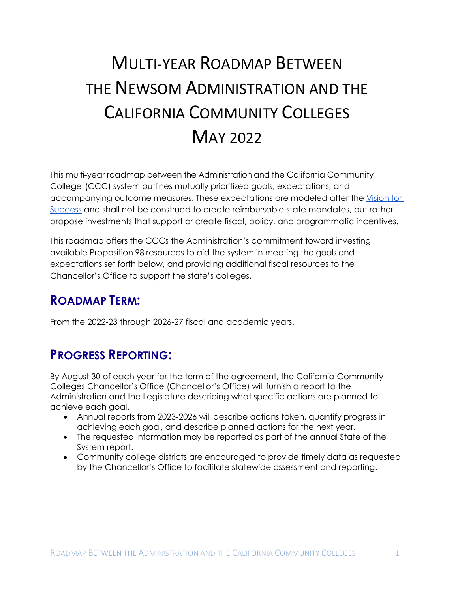# MULTI-YEAR ROADMAP BETWEEN THE NEWSOM ADMINISTRATION AND THE CALIFORNIA COMMUNITY COLLEGES MAY 2022

This multi-year roadmap between the Administration and the California Community College (CCC) system outlines mutually prioritized goals, expectations, and accompanying outcome measures. These expectations are modeled after the [Vision for](https://www.cccco.edu/About-Us/Vision-for-Success)  [Success](https://www.cccco.edu/About-Us/Vision-for-Success) and shall not be construed to create reimbursable state mandates, but rather propose investments that support or create fiscal, policy, and programmatic incentives.

This roadmap offers the CCCs the Administration's commitment toward investing available Proposition 98 resources to aid the system in meeting the goals and expectations set forth below, and providing additional fiscal resources to the Chancellor's Office to support the state's colleges.

# **ROADMAP TERM:**

From the 2022-23 through 2026-27 fiscal and academic years.

# **PROGRESS REPORTING:**

By August 30 of each year for the term of the agreement, the California Community Colleges Chancellor's Office (Chancellor's Office) will furnish a report to the Administration and the Legislature describing what specific actions are planned to achieve each goal.

- Annual reports from 2023-2026 will describe actions taken, quantify progress in achieving each goal, and describe planned actions for the next year.
- The requested information may be reported as part of the annual State of the System report.
- Community college districts are encouraged to provide timely data as requested by the Chancellor's Office to facilitate statewide assessment and reporting.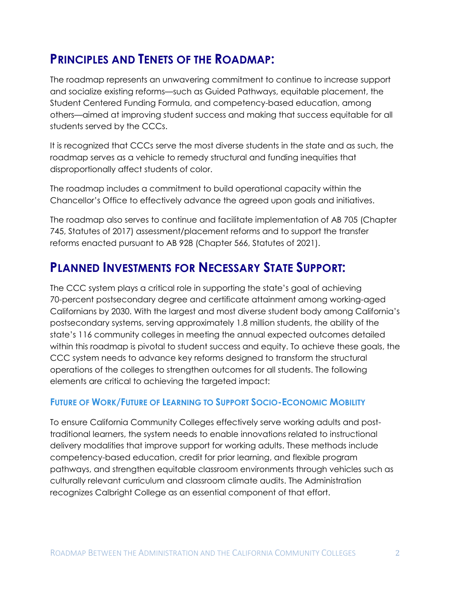# **PRINCIPLES AND TENETS OF THE ROADMAP:**

The roadmap represents an unwavering commitment to continue to increase support and socialize existing reforms—such as Guided Pathways, equitable placement, the Student Centered Funding Formula, and competency-based education, among others—aimed at improving student success and making that success equitable for all students served by the CCCs.

It is recognized that CCCs serve the most diverse students in the state and as such, the roadmap serves as a vehicle to remedy structural and funding inequities that disproportionally affect students of color.

The roadmap includes a commitment to build operational capacity within the Chancellor's Office to effectively advance the agreed upon goals and initiatives.

The roadmap also serves to continue and facilitate implementation of AB 705 (Chapter 745, Statutes of 2017) assessment/placement reforms and to support the transfer reforms enacted pursuant to AB 928 (Chapter 566, Statutes of 2021).

# **PLANNED INVESTMENTS FOR NECESSARY STATE SUPPORT:**

The CCC system plays a critical role in supporting the state's goal of achieving 70-percent postsecondary degree and certificate attainment among working-aged Californians by 2030. With the largest and most diverse student body among California's postsecondary systems, serving approximately 1.8 million students, the ability of the state's 116 community colleges in meeting the annual expected outcomes detailed within this roadmap is pivotal to student success and equity. To achieve these goals, the CCC system needs to advance key reforms designed to transform the structural operations of the colleges to strengthen outcomes for all students. The following elements are critical to achieving the targeted impact:

### **FUTURE OF WORK/FUTURE OF LEARNING TO SUPPORT SOCIO-ECONOMIC MOBILITY**

To ensure California Community Colleges effectively serve working adults and posttraditional learners, the system needs to enable innovations related to instructional delivery modalities that improve support for working adults. These methods include competency-based education, credit for prior learning, and flexible program pathways, and strengthen equitable classroom environments through vehicles such as culturally relevant curriculum and classroom climate audits. The Administration recognizes Calbright College as an essential component of that effort.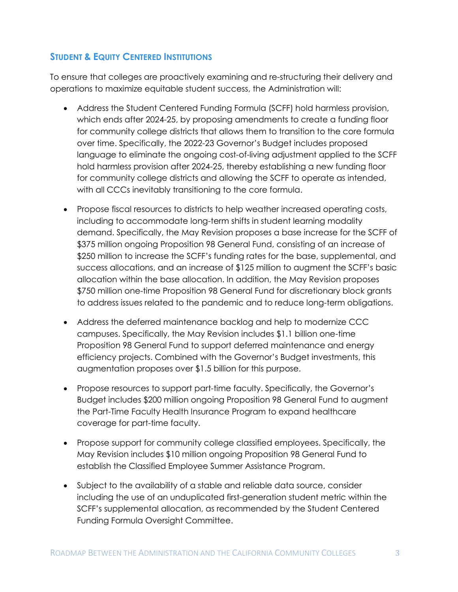### **STUDENT & EQUITY CENTERED INSTITUTIONS**

To ensure that colleges are proactively examining and re-structuring their delivery and operations to maximize equitable student success, the Administration will:

- Address the Student Centered Funding Formula (SCFF) hold harmless provision, which ends after 2024-25, by proposing amendments to create a funding floor for community college districts that allows them to transition to the core formula over time. Specifically, the 2022-23 Governor's Budget includes proposed language to eliminate the ongoing cost-of-living adjustment applied to the SCFF hold harmless provision after 2024-25, thereby establishing a new funding floor for community college districts and allowing the SCFF to operate as intended, with all CCCs inevitably transitioning to the core formula.
- Propose fiscal resources to districts to help weather increased operating costs, including to accommodate long-term shifts in student learning modality demand. Specifically, the May Revision proposes a base increase for the SCFF of \$375 million ongoing Proposition 98 General Fund, consisting of an increase of \$250 million to increase the SCFF's funding rates for the base, supplemental, and success allocations, and an increase of \$125 million to augment the SCFF's basic allocation within the base allocation. In addition, the May Revision proposes \$750 million one-time Proposition 98 General Fund for discretionary block grants to address issues related to the pandemic and to reduce long-term obligations.
- Address the deferred maintenance backlog and help to modernize CCC campuses. Specifically, the May Revision includes \$1.1 billion one-time Proposition 98 General Fund to support deferred maintenance and energy efficiency projects. Combined with the Governor's Budget investments, this augmentation proposes over \$1.5 billion for this purpose.
- Propose resources to support part-time faculty. Specifically, the Governor's Budget includes \$200 million ongoing Proposition 98 General Fund to augment the Part-Time Faculty Health Insurance Program to expand healthcare coverage for part-time faculty.
- Propose support for community college classified employees. Specifically, the May Revision includes \$10 million ongoing Proposition 98 General Fund to establish the Classified Employee Summer Assistance Program.
- Subject to the availability of a stable and reliable data source, consider including the use of an unduplicated first-generation student metric within the SCFF's supplemental allocation, as recommended by the Student Centered Funding Formula Oversight Committee.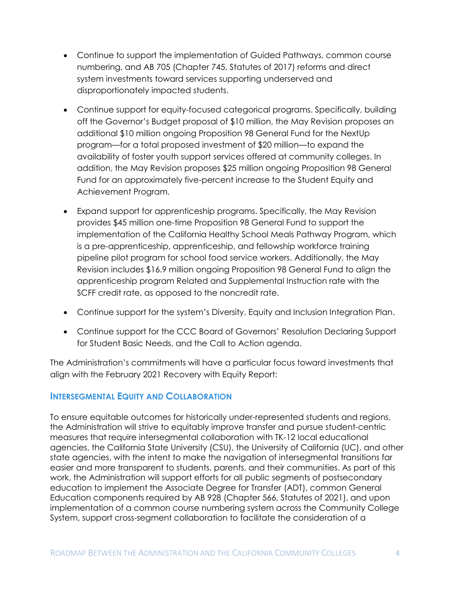- Continue to support the implementation of Guided Pathways, common course numbering, and AB 705 (Chapter 745, Statutes of 2017) reforms and direct system investments toward services supporting underserved and disproportionately impacted students.
- Continue support for equity-focused categorical programs. Specifically, building off the Governor's Budget proposal of \$10 million, the May Revision proposes an additional \$10 million ongoing Proposition 98 General Fund for the NextUp program—for a total proposed investment of \$20 million—to expand the availability of foster youth support services offered at community colleges. In addition, the May Revision proposes \$25 million ongoing Proposition 98 General Fund for an approximately five-percent increase to the Student Equity and Achievement Program.
- Expand support for apprenticeship programs. Specifically, the May Revision provides \$45 million one-time Proposition 98 General Fund to support the implementation of the California Healthy School Meals Pathway Program, which is a pre-apprenticeship, apprenticeship, and fellowship workforce training pipeline pilot program for school food service workers. Additionally, the May Revision includes \$16.9 million ongoing Proposition 98 General Fund to align the apprenticeship program Related and Supplemental Instruction rate with the SCFF credit rate, as opposed to the noncredit rate.
- Continue support for the system's Diversity, Equity and Inclusion Integration Plan.
- Continue support for the CCC Board of Governors' Resolution Declaring Support for Student Basic Needs, and the Call to Action agenda.

The Administration's commitments will have a particular focus toward investments that align with the February 2021 Recovery with Equity Report:

#### **INTERSEGMENTAL EQUITY AND COLLABORATION**

To ensure equitable outcomes for historically under-represented students and regions, the Administration will strive to equitably improve transfer and pursue student-centric measures that require intersegmental collaboration with TK-12 local educational agencies, the California State University (CSU), the University of California (UC), and other state agencies, with the intent to make the navigation of intersegmental transitions far easier and more transparent to students, parents, and their communities. As part of this work, the Administration will support efforts for all public segments of postsecondary education to implement the Associate Degree for Transfer (ADT), common General Education components required by AB 928 (Chapter 566, Statutes of 2021), and upon implementation of a common course numbering system across the Community College System, support cross-segment collaboration to facilitate the consideration of a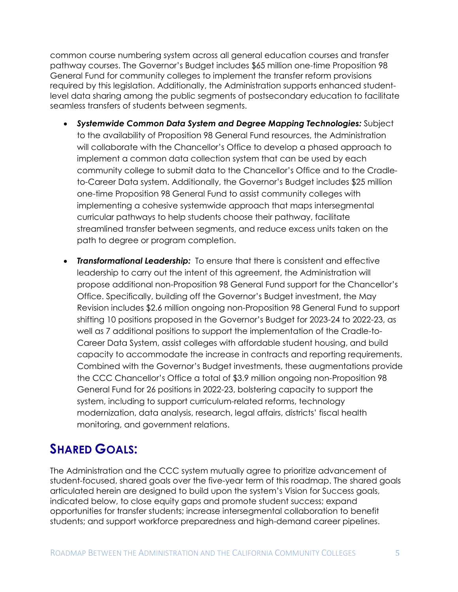common course numbering system across all general education courses and transfer pathway courses. The Governor's Budget includes \$65 million one-time Proposition 98 General Fund for community colleges to implement the transfer reform provisions required by this legislation. Additionally, the Administration supports enhanced studentlevel data sharing among the public segments of postsecondary education to facilitate seamless transfers of students between segments.

- *Systemwide Common Data System and Degree Mapping Technologies:* Subject to the availability of Proposition 98 General Fund resources, the Administration will collaborate with the Chancellor's Office to develop a phased approach to implement a common data collection system that can be used by each community college to submit data to the Chancellor's Office and to the Cradleto-Career Data system. Additionally, the Governor's Budget includes \$25 million one-time Proposition 98 General Fund to assist community colleges with implementing a cohesive systemwide approach that maps intersegmental curricular pathways to help students choose their pathway, facilitate streamlined transfer between segments, and reduce excess units taken on the path to degree or program completion.
- *Transformational Leadership:* To ensure that there is consistent and effective leadership to carry out the intent of this agreement, the Administration will propose additional non-Proposition 98 General Fund support for the Chancellor's Office. Specifically, building off the Governor's Budget investment, the May Revision includes \$2.6 million ongoing non-Proposition 98 General Fund to support shifting 10 positions proposed in the Governor's Budget for 2023-24 to 2022-23, as well as 7 additional positions to support the implementation of the Cradle-to-Career Data System, assist colleges with affordable student housing, and build capacity to accommodate the increase in contracts and reporting requirements. Combined with the Governor's Budget investments, these augmentations provide the CCC Chancellor's Office a total of \$3.9 million ongoing non-Proposition 98 General Fund for 26 positions in 2022-23, bolstering capacity to support the system, including to support curriculum-related reforms, technology modernization, data analysis, research, legal affairs, districts' fiscal health monitoring, and government relations.

# **SHARED GOALS:**

The Administration and the CCC system mutually agree to prioritize advancement of student-focused, shared goals over the five-year term of this roadmap. The shared goals articulated herein are designed to build upon the system's Vision for Success goals, indicated below, to close equity gaps and promote student success; expand opportunities for transfer students; increase intersegmental collaboration to benefit students; and support workforce preparedness and high-demand career pipelines.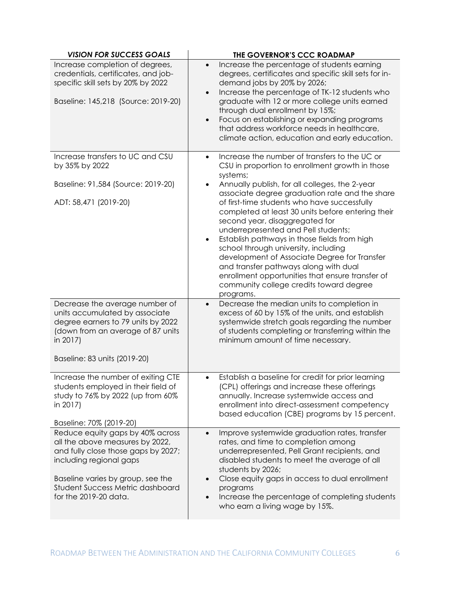| <b>VISION FOR SUCCESS GOALS</b>                                                                                                                                                                                                         | THE GOVERNOR'S CCC ROADMAP                                                                                                                                                                                                                                                                                                                                                                                                                                                           |
|-----------------------------------------------------------------------------------------------------------------------------------------------------------------------------------------------------------------------------------------|--------------------------------------------------------------------------------------------------------------------------------------------------------------------------------------------------------------------------------------------------------------------------------------------------------------------------------------------------------------------------------------------------------------------------------------------------------------------------------------|
| Increase completion of degrees,<br>credentials, certificates, and job-<br>specific skill sets by 20% by 2022<br>Baseline: 145,218 (Source: 2019-20)                                                                                     | Increase the percentage of students earning<br>$\bullet$<br>degrees, certificates and specific skill sets for in-<br>demand jobs by 20% by 2026;<br>Increase the percentage of TK-12 students who<br>$\bullet$<br>graduate with 12 or more college units earned<br>through dual enrollment by 15%;<br>Focus on establishing or expanding programs<br>$\bullet$<br>that address workforce needs in healthcare,<br>climate action, education and early education.                      |
| Increase transfers to UC and CSU<br>by 35% by 2022                                                                                                                                                                                      | Increase the number of transfers to the UC or<br>$\bullet$<br>CSU in proportion to enrollment growth in those<br>systems;                                                                                                                                                                                                                                                                                                                                                            |
| Baseline: 91,584 (Source: 2019-20)                                                                                                                                                                                                      | Annually publish, for all colleges, the 2-year<br>$\bullet$<br>associate degree graduation rate and the share                                                                                                                                                                                                                                                                                                                                                                        |
| ADT: 58,471 (2019-20)                                                                                                                                                                                                                   | of first-time students who have successfully<br>completed at least 30 units before entering their<br>second year, disaggregated for<br>underrepresented and Pell students;<br>Establish pathways in those fields from high<br>$\bullet$<br>school through university, including<br>development of Associate Degree for Transfer<br>and transfer pathways along with dual<br>enrollment opportunities that ensure transfer of<br>community college credits toward degree<br>programs. |
| Decrease the average number of<br>units accumulated by associate<br>degree earners to 79 units by 2022<br>(down from an average of 87 units<br>in 2017)<br>Baseline: 83 units (2019-20)                                                 | Decrease the median units to completion in<br>$\bullet$<br>excess of 60 by 15% of the units, and establish<br>systemwide stretch goals regarding the number<br>of students completing or transferring within the<br>minimum amount of time necessary.                                                                                                                                                                                                                                |
|                                                                                                                                                                                                                                         |                                                                                                                                                                                                                                                                                                                                                                                                                                                                                      |
| Increase the number of exiting CTE<br>students employed in their field of<br>study to 76% by 2022 (up from 60%<br>in 2017)<br>Baseline: 70% (2019-20)                                                                                   | Establish a baseline for credit for prior learning<br>$\bullet$<br>(CPL) offerings and increase these offerings<br>annually. Increase systemwide access and<br>enrollment into direct-assessment competency<br>based education (CBE) programs by 15 percent.                                                                                                                                                                                                                         |
| Reduce equity gaps by 40% across<br>all the above measures by 2022,<br>and fully close those gaps by 2027;<br>including regional gaps<br>Baseline varies by group, see the<br>Student Success Metric dashboard<br>for the 2019-20 data. | Improve systemwide graduation rates, transfer<br>$\bullet$<br>rates, and time to completion among<br>underrepresented, Pell Grant recipients, and<br>disabled students to meet the average of all<br>students by 2026;<br>Close equity gaps in access to dual enrollment<br>programs<br>Increase the percentage of completing students<br>$\bullet$<br>who earn a living wage by 15%.                                                                                                |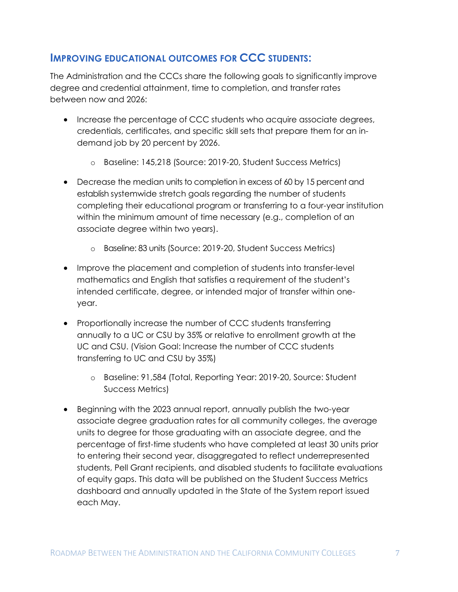### **IMPROVING EDUCATIONAL OUTCOMES FOR CCC STUDENTS:**

The Administration and the CCCs share the following goals to significantly improve degree and credential attainment, time to completion, and transfer rates between now and 2026:

- Increase the percentage of CCC students who acquire associate degrees, credentials, certificates, and specific skill sets that prepare them for an indemand job by 20 percent by 2026.
	- o Baseline: 145,218 (Source: 2019-20, Student Success Metrics)
- Decrease the median units to completion in excess of 60 by 15 percent and establish systemwide stretch goals regarding the number of students completing their educational program or transferring to a four-year institution within the minimum amount of time necessary (e.g., completion of an associate degree within two years).
	- o Baseline: 83 units (Source: 2019-20, Student Success Metrics)
- Improve the placement and completion of students into transfer-level mathematics and English that satisfies a requirement of the student's intended certificate, degree, or intended major of transfer within oneyear.
- Proportionally increase the number of CCC students transferring annually to a UC or CSU by 35% or relative to enrollment growth at the UC and CSU. (Vision Goal: Increase the number of CCC students transferring to UC and CSU by 35%)
	- o Baseline: 91,584 (Total, Reporting Year: 2019-20, Source: Student Success Metrics)
- Beginning with the 2023 annual report, annually publish the two-year associate degree graduation rates for all community colleges, the average units to degree for those graduating with an associate degree, and the percentage of first-time students who have completed at least 30 units prior to entering their second year, disaggregated to reflect underrepresented students, Pell Grant recipients, and disabled students to facilitate evaluations of equity gaps. This data will be published on the Student Success Metrics dashboard and annually updated in the State of the System report issued each May.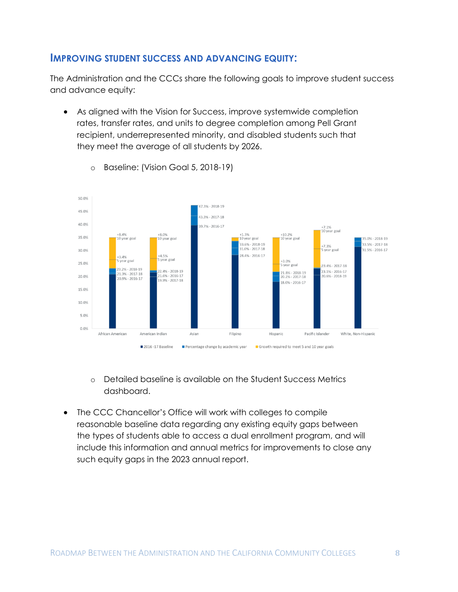### **IMPROVING STUDENT SUCCESS AND ADVANCING EQUITY:**

The Administration and the CCCs share the following goals to improve student success and advance equity:

 As aligned with the Vision for Success, improve systemwide completion rates, transfer rates, and units to degree completion among Pell Grant recipient, underrepresented minority, and disabled students such that they meet the average of all students by 2026.



o Baseline: (Vision Goal 5, 2018-19)

- o Detailed baseline is available on the Student Success Metrics dashboard.
- The CCC Chancellor's Office will work with colleges to compile reasonable baseline data regarding any existing equity gaps between the types of students able to access a dual enrollment program, and will include this information and annual metrics for improvements to close any such equity gaps in the 2023 annual report.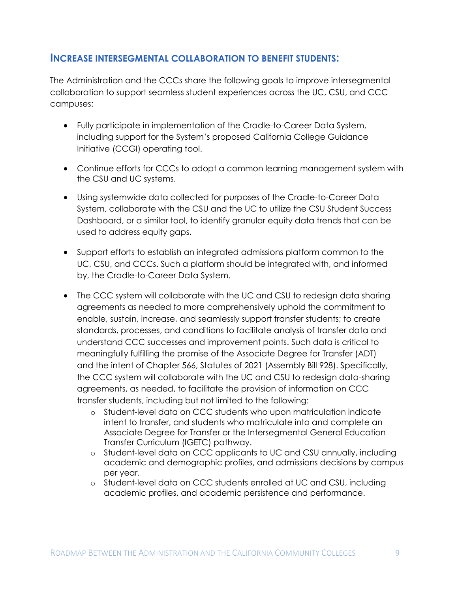### **INCREASE INTERSEGMENTAL COLLABORATION TO BENEFIT STUDENTS:**

The Administration and the CCCs share the following goals to improve intersegmental collaboration to support seamless student experiences across the UC, CSU, and CCC campuses:

- Fully participate in implementation of the Cradle-to-Career Data System, including support for the System's proposed California College Guidance Initiative (CCGI) operating tool.
- Continue efforts for CCCs to adopt a common learning management system with the CSU and UC systems.
- Using systemwide data collected for purposes of the Cradle-to-Career Data System, collaborate with the CSU and the UC to utilize the CSU Student Success Dashboard, or a similar tool, to identify granular equity data trends that can be used to address equity gaps.
- Support efforts to establish an integrated admissions platform common to the UC, CSU, and CCCs. Such a platform should be integrated with, and informed by, the Cradle-to-Career Data System.
- The CCC system will collaborate with the UC and CSU to redesign data sharing agreements as needed to more comprehensively uphold the commitment to enable, sustain, increase, and seamlessly support transfer students; to create standards, processes, and conditions to facilitate analysis of transfer data and understand CCC successes and improvement points. Such data is critical to meaningfully fulfilling the promise of the Associate Degree for Transfer (ADT) and the intent of Chapter 566, Statutes of 2021 (Assembly Bill 928). Specifically, the CCC system will collaborate with the UC and CSU to redesign data-sharing agreements, as needed, to facilitate the provision of information on CCC transfer students, including but not limited to the following:
	- o Student-level data on CCC students who upon matriculation indicate intent to transfer, and students who matriculate into and complete an Associate Degree for Transfer or the Intersegmental General Education Transfer Curriculum (IGETC) pathway.
	- o Student-level data on CCC applicants to UC and CSU annually, including academic and demographic profiles, and admissions decisions by campus per year.
	- o Student-level data on CCC students enrolled at UC and CSU, including academic profiles, and academic persistence and performance.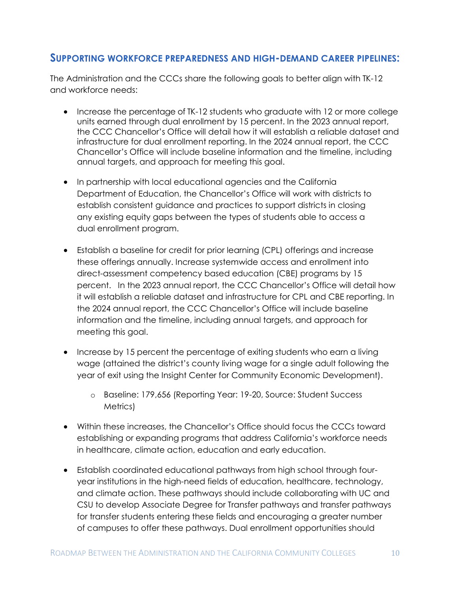### **SUPPORTING WORKFORCE PREPAREDNESS AND HIGH-DEMAND CAREER PIPELINES:**

The Administration and the CCCs share the following goals to better align with TK-12 and workforce needs:

- Increase the percentage of TK-12 students who graduate with 12 or more college units earned through dual enrollment by 15 percent. In the 2023 annual report, the CCC Chancellor's Office will detail how it will establish a reliable dataset and infrastructure for dual enrollment reporting. In the 2024 annual report, the CCC Chancellor's Office will include baseline information and the timeline, including annual targets, and approach for meeting this goal.
- In partnership with local educational agencies and the California Department of Education, the Chancellor's Office will work with districts to establish consistent guidance and practices to support districts in closing any existing equity gaps between the types of students able to access a dual enrollment program.
- Establish a baseline for credit for prior learning (CPL) offerings and increase these offerings annually. Increase systemwide access and enrollment into direct-assessment competency based education (CBE) programs by 15 percent. In the 2023 annual report, the CCC Chancellor's Office will detail how it will establish a reliable dataset and infrastructure for CPL and CBE reporting. In the 2024 annual report, the CCC Chancellor's Office will include baseline information and the timeline, including annual targets, and approach for meeting this goal.
- Increase by 15 percent the percentage of exiting students who earn a living wage (attained the district's county living wage for a single adult following the year of exit using the Insight Center for Community Economic Development).
	- o Baseline: 179,656 (Reporting Year: 19-20, Source: Student Success Metrics)
- Within these increases, the Chancellor's Office should focus the CCCs toward establishing or expanding programs that address California's workforce needs in healthcare, climate action, education and early education.
- Establish coordinated educational pathways from high school through fouryear institutions in the high-need fields of education, healthcare, technology, and climate action. These pathways should include collaborating with UC and CSU to develop Associate Degree for Transfer pathways and transfer pathways for transfer students entering these fields and encouraging a greater number of campuses to offer these pathways. Dual enrollment opportunities should